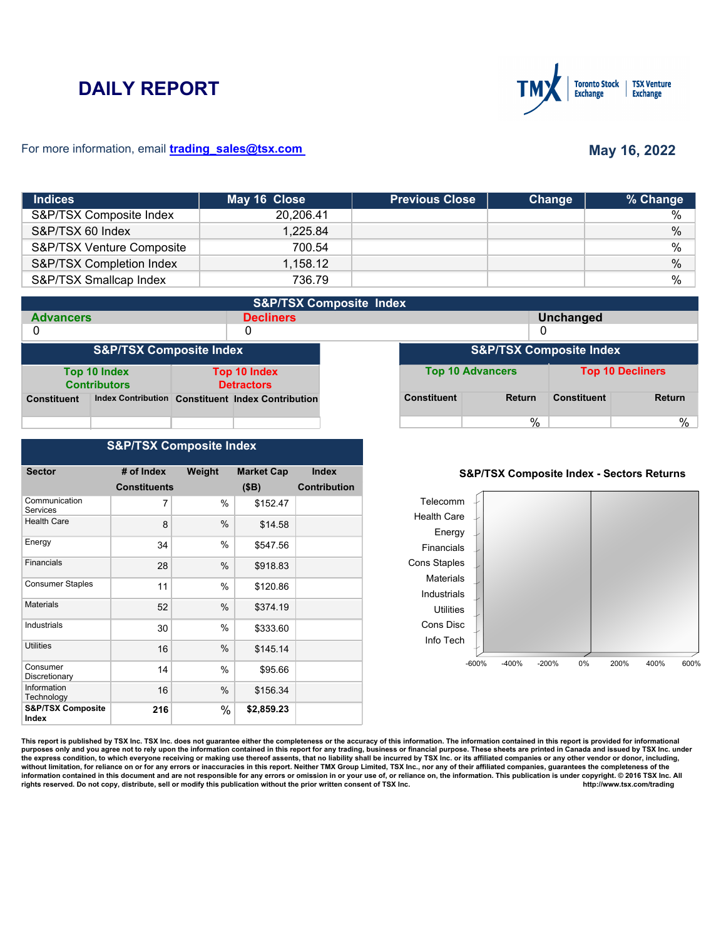# **DAILY REPORT**



#### For more information, email **trading\_sales@tsx.com**

## **May 16, 2022**

| <b>Indices</b>            | May 16 Close | <b>Previous Close</b> | Change | % Change      |
|---------------------------|--------------|-----------------------|--------|---------------|
| S&P/TSX Composite Index   | 20.206.41    |                       |        | %             |
| S&P/TSX 60 Index          | 1,225.84     |                       |        | $\%$          |
| S&P/TSX Venture Composite | 700.54       |                       |        | $\frac{0}{0}$ |
| S&P/TSX Completion Index  | 1,158.12     |                       |        | $\%$          |
| S&P/TSX Smallcap Index    | 736.79       |                       |        | %             |

|                    | <b>S&amp;P/TSX Composite Index</b>         |  |                                                   |  |                    |                                    |                    |                         |
|--------------------|--------------------------------------------|--|---------------------------------------------------|--|--------------------|------------------------------------|--------------------|-------------------------|
| <b>Advancers</b>   |                                            |  | <b>Decliners</b>                                  |  |                    |                                    | Unchanged          |                         |
| 0                  |                                            |  | 0                                                 |  |                    | 0                                  |                    |                         |
|                    | <b>S&amp;P/TSX Composite Index</b>         |  |                                                   |  |                    | <b>S&amp;P/TSX Composite Index</b> |                    |                         |
|                    | <b>Top 10 Index</b><br><b>Contributors</b> |  | <b>Top 10 Index</b><br><b>Detractors</b>          |  |                    | <b>Top 10 Advancers</b>            |                    | <b>Top 10 Decliners</b> |
| <b>Constituent</b> |                                            |  | Index Contribution Constituent Index Contribution |  | <b>Constituent</b> | <b>Return</b>                      | <b>Constituent</b> | <b>Return</b>           |
|                    |                                            |  |                                                   |  |                    | %                                  |                    | %                       |

#### **S&P/TSX Composite Index**

| <b>Sector</b>                         | # of Index          | Weight | <b>Market Cap</b> | <b>Index</b>        |
|---------------------------------------|---------------------|--------|-------------------|---------------------|
|                                       | <b>Constituents</b> |        | (SB)              | <b>Contribution</b> |
| Communication<br>Services             | 7                   | %      | \$152.47          |                     |
| <b>Health Care</b>                    | 8                   | %      | \$14.58           |                     |
| Energy                                | 34                  | $\%$   | \$547.56          |                     |
| Financials                            | 28                  | %      | \$918.83          |                     |
| <b>Consumer Staples</b>               | 11                  | %      | \$120.86          |                     |
| <b>Materials</b>                      | 52                  | %      | \$374.19          |                     |
| Industrials                           | 30                  | $\%$   | \$333.60          |                     |
| Utilities                             | 16                  | $\%$   | \$145.14          |                     |
| Consumer<br>Discretionary             | 14                  | %      | \$95.66           |                     |
| Information<br>Technology             | 16                  | %      | \$156.34          |                     |
| <b>S&amp;P/TSX Composite</b><br>Index | 216                 | $\%$   | \$2,859.23        |                     |

#### **S&P/TSX Composite Index - Sectors Returns**



This report is published by TSX Inc. TSX Inc. does not guarantee either the completeness or the accuracy of this information. The information contained in this report is provided for informational **purposes only and you agree not to rely upon the information contained in this report for any trading, business or financial purpose. These sheets are printed in Canada and issued by TSX Inc. under**  the express condition, to which everyone receiving or making use thereof assents, that no liability shall be incurred by TSX Inc. or its affiliated companies or any other vendor or donor, including,<br>without limitation, for information contained in this document and are not responsible for any errors or omission in or your use of, or reliance on, the information. This publication is under copyright. © 2016 TSX Inc. All <br>
rights reserved. Do n rights reserved. Do not copy, distribute, sell or modify this publication without the prior written consent of TSX Inc.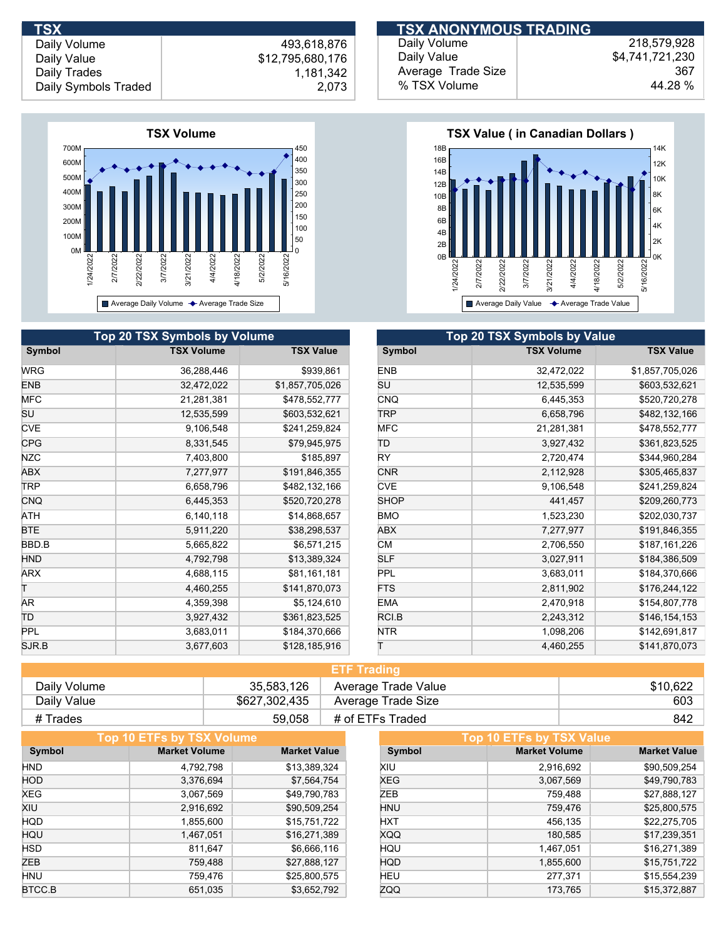**TSX ANONYMOUS TRADING** 

Daily Volume Daily Value Daily Trades

 493,618,876 \$12,795,680,176 1,181,342 Daily Symbols Traded 2,073



| Daily Volume       | 218.579.928     |
|--------------------|-----------------|
| Daily Value        | \$4,741,721,230 |
| Average Trade Size | 367             |
| % TSX Volume       | 44.28 %         |



| <b>Top 20 TSX Symbols by Volume</b> |                   |                  | Top 20 TSX Symbols by Value |                   |                  |  |
|-------------------------------------|-------------------|------------------|-----------------------------|-------------------|------------------|--|
| Symbol                              | <b>TSX Volume</b> | <b>TSX Value</b> | Symbol                      | <b>TSX Volume</b> | <b>TSX Value</b> |  |
| WRG                                 | 36,288,446        | \$939,861        | <b>ENB</b>                  | 32,472,022        | \$1,857,705,026  |  |
| ENB                                 | 32,472,022        | \$1,857,705,026  | SU                          | 12,535,599        | \$603,532,621    |  |
| MFC                                 | 21,281,381        | \$478,552,777    | <b>CNQ</b>                  | 6,445,353         | \$520,720,278    |  |
| SU                                  | 12,535,599        | \$603,532,621    | <b>TRP</b>                  | 6,658,796         | \$482,132,166    |  |
| <b>CVE</b>                          | 9,106,548         | \$241,259,824    | <b>MFC</b>                  | 21,281,381        | \$478,552,777    |  |
| <b>CPG</b>                          | 8,331,545         | \$79,945,975     | TD                          | 3,927,432         | \$361,823,525    |  |
| NZC                                 | 7,403,800         | \$185,897        | RY.                         | 2,720,474         | \$344,960,284    |  |
| ABX                                 | 7,277,977         | \$191,846,355    | <b>CNR</b>                  | 2,112,928         | \$305,465,837    |  |
| <b>TRP</b>                          | 6,658,796         | \$482,132,166    | <b>CVE</b>                  | 9,106,548         | \$241,259,824    |  |
| CNQ                                 | 6,445,353         | \$520,720,278    | <b>SHOP</b>                 | 441,457           | \$209,260,773    |  |
| ATH                                 | 6,140,118         | \$14,868,657     | <b>BMO</b>                  | 1,523,230         | \$202,030,737    |  |
| BTE                                 | 5,911,220         | \$38,298,537     | ABX                         | 7,277,977         | \$191,846,355    |  |
| BBD.B                               | 5,665,822         | \$6,571,215      | <b>CM</b>                   | 2,706,550         | \$187,161,226    |  |
| HND.                                | 4,792,798         | \$13,389,324     | <b>SLF</b>                  | 3,027,911         | \$184,386,509    |  |
| ARX                                 | 4,688,115         | \$81,161,181     | <b>PPL</b>                  | 3,683,011         | \$184,370,666    |  |
|                                     | 4,460,255         | \$141,870,073    | <b>FTS</b>                  | 2,811,902         | \$176,244,122    |  |
| AR                                  | 4,359,398         | \$5,124,610      | <b>EMA</b>                  | 2,470,918         | \$154,807,778    |  |
| ТD                                  | 3,927,432         | \$361,823,525    | RCI.B                       | 2,243,312         | \$146,154,153    |  |
| PPL                                 | 3,683,011         | \$184,370,666    | <b>NTR</b>                  | 1,098,206         | \$142,691,817    |  |
| SJR B                               | 3,677,603         | \$128,185,916    |                             | 4,460,255         | \$141,870,073    |  |

| <b>ETF Trading</b> |               |                     |          |  |
|--------------------|---------------|---------------------|----------|--|
| Daily Volume       | 35.583.126    | Average Trade Value | \$10,622 |  |
| Daily Value        | \$627,302,435 | Average Trade Size  | 603      |  |
| # Trades           | 59.058        | # of ETFs Traded    | 842      |  |

| Top 10 ETFs by TSX Volume |                     |            | Top 10 ETFs by TSX Value |                     |  |  |
|---------------------------|---------------------|------------|--------------------------|---------------------|--|--|
| <b>Market Volume</b>      | <b>Market Value</b> | Symbol     | <b>Market Volume</b>     | <b>Market Value</b> |  |  |
| 4.792.798                 | \$13,389,324        | XIU        | 2,916,692                | \$90,509,254        |  |  |
| 3,376,694                 | \$7,564,754         | <b>XEG</b> | 3,067,569                | \$49,790,783        |  |  |
| 3,067,569                 | \$49,790,783        | ZEB        | 759,488                  | \$27,888,127        |  |  |
| 2,916,692                 | \$90,509,254        | <b>HNU</b> | 759,476                  | \$25,800,575        |  |  |
| 1,855,600                 | \$15,751,722        | <b>HXT</b> | 456,135                  | \$22,275,705        |  |  |
| 1,467,051                 | \$16,271,389        | <b>XQQ</b> | 180,585                  | \$17,239,351        |  |  |
| 811.647                   | \$6,666,116         | HQU        | 1.467.051                | \$16,271,389        |  |  |
| 759,488                   | \$27,888,127        | <b>HQD</b> | 1,855,600                | \$15,751,722        |  |  |
| 759,476                   | \$25,800,575        | HEU        | 277,371                  | \$15,554,239        |  |  |
| 651.035                   | \$3,652,792         | ZQQ        | 173.765                  | \$15.372.887        |  |  |
|                           |                     |            |                          |                     |  |  |